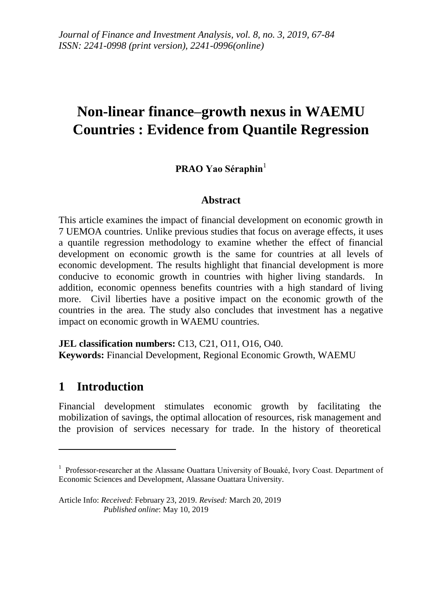# **Non-linear finance–growth nexus in WAEMU Countries : Evidence from Quantile Regression**

# **PRAO** Yao Séraphin<sup>1</sup>

#### **Abstract**

This article examines the impact of financial development on economic growth in 7 UEMOA countries. Unlike previous studies that focus on average effects, it uses a quantile regression methodology to examine whether the effect of financial development on economic growth is the same for countries at all levels of economic development. The results highlight that financial development is more conducive to economic growth in countries with higher living standards. In addition, economic openness benefits countries with a high standard of living more. Civil liberties have a positive impact on the economic growth of the countries in the area. The study also concludes that investment has a negative impact on economic growth in WAEMU countries.

**JEL classification numbers:** C13, C21, O11, O16, O40. **Keywords:** Financial Development, Regional Economic Growth, WAEMU

# **1 Introduction**

1

Financial development stimulates economic growth by facilitating the mobilization of savings, the optimal allocation of resources, risk management and the provision of services necessary for trade. In the history of theoretical

<sup>&</sup>lt;sup>1</sup> Professor-researcher at the Alassane Ouattara University of Bouaké, Ivory Coast. Department of Economic Sciences and Development, Alassane Ouattara University.

Article Info: *Received*: February 23, 2019. *Revised:* March 20, 2019 *Published online*: May 10, 2019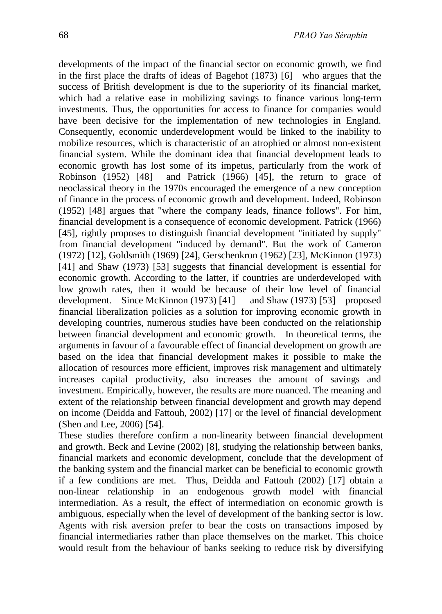developments of the impact of the financial sector on economic growth, we find in the first place the drafts of ideas of Bagehot (1873) [6] who argues that the success of British development is due to the superiority of its financial market, which had a relative ease in mobilizing savings to finance various long-term investments. Thus, the opportunities for access to finance for companies would have been decisive for the implementation of new technologies in England. Consequently, economic underdevelopment would be linked to the inability to mobilize resources, which is characteristic of an atrophied or almost non-existent financial system. While the dominant idea that financial development leads to economic growth has lost some of its impetus, particularly from the work of Robinson (1952) [48] and Patrick (1966) [45], the return to grace of neoclassical theory in the 1970s encouraged the emergence of a new conception of finance in the process of economic growth and development. Indeed, Robinson (1952) [48] argues that "where the company leads, finance follows". For him, financial development is a consequence of economic development. Patrick (1966) [45], rightly proposes to distinguish financial development "initiated by supply" from financial development "induced by demand". But the work of Cameron (1972) [12], Goldsmith (1969) [24], Gerschenkron (1962) [23], McKinnon (1973) [41] and Shaw (1973) [53] suggests that financial development is essential for economic growth. According to the latter, if countries are underdeveloped with low growth rates, then it would be because of their low level of financial development. Since McKinnon (1973) [41] and Shaw (1973) [53] proposed financial liberalization policies as a solution for improving economic growth in developing countries, numerous studies have been conducted on the relationship between financial development and economic growth. In theoretical terms, the arguments in favour of a favourable effect of financial development on growth are based on the idea that financial development makes it possible to make the allocation of resources more efficient, improves risk management and ultimately increases capital productivity, also increases the amount of savings and investment. Empirically, however, the results are more nuanced. The meaning and extent of the relationship between financial development and growth may depend on income (Deidda and Fattouh, 2002) [17] or the level of financial development (Shen and Lee, 2006) [54].

These studies therefore confirm a non-linearity between financial development and growth. Beck and Levine (2002) [8], studying the relationship between banks, financial markets and economic development, conclude that the development of the banking system and the financial market can be beneficial to economic growth if a few conditions are met. Thus, Deidda and Fattouh (2002) [17] obtain a non-linear relationship in an endogenous growth model with financial intermediation. As a result, the effect of intermediation on economic growth is ambiguous, especially when the level of development of the banking sector is low. Agents with risk aversion prefer to bear the costs on transactions imposed by financial intermediaries rather than place themselves on the market. This choice would result from the behaviour of banks seeking to reduce risk by diversifying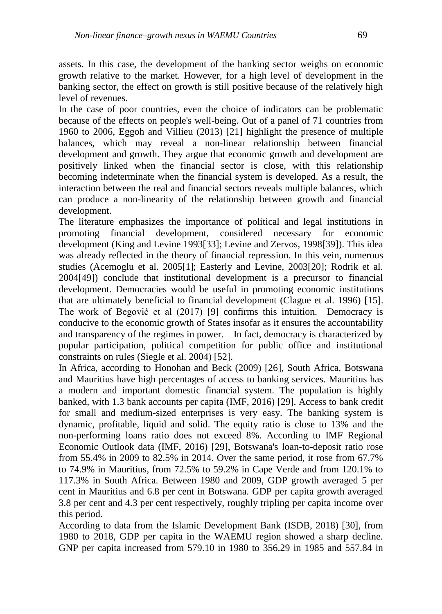assets. In this case, the development of the banking sector weighs on economic growth relative to the market. However, for a high level of development in the banking sector, the effect on growth is still positive because of the relatively high level of revenues.

In the case of poor countries, even the choice of indicators can be problematic because of the effects on people's well-being. Out of a panel of 71 countries from 1960 to 2006, Eggoh and Villieu (2013) [21] highlight the presence of multiple balances, which may reveal a non-linear relationship between financial development and growth. They argue that economic growth and development are positively linked when the financial sector is close, with this relationship becoming indeterminate when the financial system is developed. As a result, the interaction between the real and financial sectors reveals multiple balances, which can produce a non-linearity of the relationship between growth and financial development.

The literature emphasizes the importance of political and legal institutions in promoting financial development, considered necessary for economic development (King and Levine 1993[33]; Levine and Zervos, 1998[39]). This idea was already reflected in the theory of financial repression. In this vein, numerous studies (Acemoglu et al. 2005[1]; Easterly and Levine, 2003[20]; Rodrik et al. 2004[49]) conclude that institutional development is a precursor to financial development. Democracies would be useful in promoting economic institutions that are ultimately beneficial to financial development (Clague et al. 1996) [15]. The work of Begović et al (2017) [9] confirms this intuition. Democracy is conducive to the economic growth of States insofar as it ensures the accountability and transparency of the regimes in power. In fact, democracy is characterized by popular participation, political competition for public office and institutional constraints on rules (Siegle et al. 2004) [52].

In Africa, according to Honohan and Beck (2009) [26], South Africa, Botswana and Mauritius have high percentages of access to banking services. Mauritius has a modern and important domestic financial system. The population is highly banked, with 1.3 bank accounts per capita (IMF, 2016) [29]. Access to bank credit for small and medium-sized enterprises is very easy. The banking system is dynamic, profitable, liquid and solid. The equity ratio is close to 13% and the non-performing loans ratio does not exceed 8%. According to IMF Regional Economic Outlook data (IMF, 2016) [29], Botswana's loan-to-deposit ratio rose from 55.4% in 2009 to 82.5% in 2014. Over the same period, it rose from 67.7% to 74.9% in Mauritius, from 72.5% to 59.2% in Cape Verde and from 120.1% to 117.3% in South Africa. Between 1980 and 2009, GDP growth averaged 5 per cent in Mauritius and 6.8 per cent in Botswana. GDP per capita growth averaged 3.8 per cent and 4.3 per cent respectively, roughly tripling per capita income over this period.

According to data from the Islamic Development Bank (ISDB, 2018) [30], from 1980 to 2018, GDP per capita in the WAEMU region showed a sharp decline. GNP per capita increased from 579.10 in 1980 to 356.29 in 1985 and 557.84 in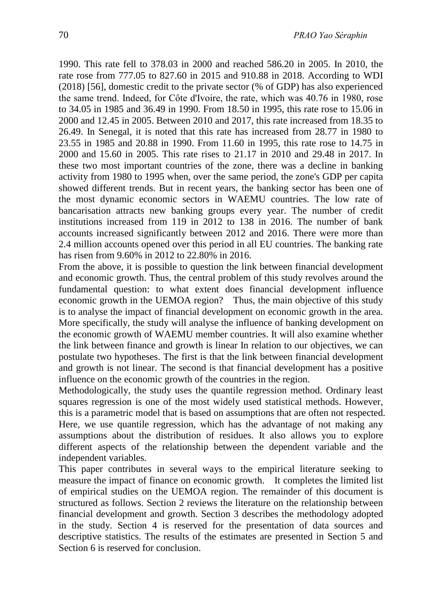1990. This rate fell to 378.03 in 2000 and reached 586.20 in 2005. In 2010, the rate rose from 777.05 to 827.60 in 2015 and 910.88 in 2018. According to WDI (2018) [56], domestic credit to the private sector (% of GDP) has also experienced the same trend. Indeed, for Côte d'Ivoire, the rate, which was 40.76 in 1980, rose to 34.05 in 1985 and 36.49 in 1990. From 18.50 in 1995, this rate rose to 15.06 in 2000 and 12.45 in 2005. Between 2010 and 2017, this rate increased from 18.35 to 26.49. In Senegal, it is noted that this rate has increased from 28.77 in 1980 to 23.55 in 1985 and 20.88 in 1990. From 11.60 in 1995, this rate rose to 14.75 in 2000 and 15.60 in 2005. This rate rises to 21.17 in 2010 and 29.48 in 2017. In these two most important countries of the zone, there was a decline in banking activity from 1980 to 1995 when, over the same period, the zone's GDP per capita showed different trends. But in recent years, the banking sector has been one of the most dynamic economic sectors in WAEMU countries. The low rate of bancarisation attracts new banking groups every year. The number of credit institutions increased from 119 in 2012 to 138 in 2016. The number of bank accounts increased significantly between 2012 and 2016. There were more than 2.4 million accounts opened over this period in all EU countries. The banking rate has risen from 9.60% in 2012 to 22.80% in 2016.

From the above, it is possible to question the link between financial development and economic growth. Thus, the central problem of this study revolves around the fundamental question: to what extent does financial development influence economic growth in the UEMOA region? Thus, the main objective of this study is to analyse the impact of financial development on economic growth in the area. More specifically, the study will analyse the influence of banking development on the economic growth of WAEMU member countries. It will also examine whether the link between finance and growth is linear In relation to our objectives, we can postulate two hypotheses. The first is that the link between financial development and growth is not linear. The second is that financial development has a positive influence on the economic growth of the countries in the region.

Methodologically, the study uses the quantile regression method. Ordinary least squares regression is one of the most widely used statistical methods. However, this is a parametric model that is based on assumptions that are often not respected. Here, we use quantile regression, which has the advantage of not making any assumptions about the distribution of residues. It also allows you to explore different aspects of the relationship between the dependent variable and the independent variables.

This paper contributes in several ways to the empirical literature seeking to measure the impact of finance on economic growth. It completes the limited list of empirical studies on the UEMOA region. The remainder of this document is structured as follows. Section 2 reviews the literature on the relationship between financial development and growth. Section 3 describes the methodology adopted in the study. Section 4 is reserved for the presentation of data sources and descriptive statistics. The results of the estimates are presented in Section 5 and Section 6 is reserved for conclusion.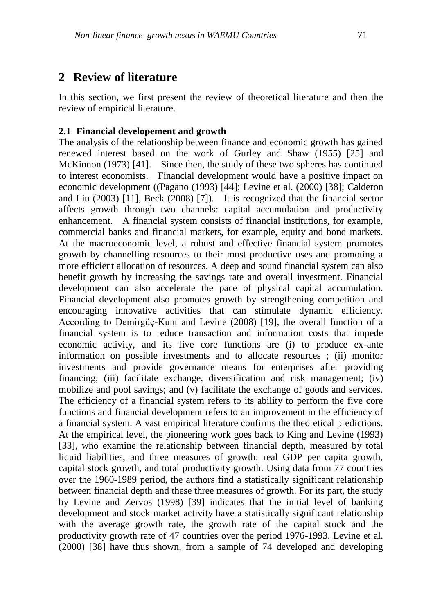# **2 Review of literature**

In this section, we first present the review of theoretical literature and then the review of empirical literature.

#### **2.1 Financial developement and growth**

The analysis of the relationship between finance and economic growth has gained renewed interest based on the work of Gurley and Shaw (1955) [25] and McKinnon (1973) [41]. Since then, the study of these two spheres has continued to interest economists. Financial development would have a positive impact on economic development ((Pagano (1993) [44]; Levine et al. (2000) [38]; Calderon and Liu (2003) [11], Beck (2008) [7]). It is recognized that the financial sector affects growth through two channels: capital accumulation and productivity enhancement. A financial system consists of financial institutions, for example, commercial banks and financial markets, for example, equity and bond markets. At the macroeconomic level, a robust and effective financial system promotes growth by channelling resources to their most productive uses and promoting a more efficient allocation of resources. A deep and sound financial system can also benefit growth by increasing the savings rate and overall investment. Financial development can also accelerate the pace of physical capital accumulation. Financial development also promotes growth by strengthening competition and encouraging innovative activities that can stimulate dynamic efficiency. According to Demirgüç-Kunt and Levine (2008) [19], the overall function of a financial system is to reduce transaction and information costs that impede economic activity, and its five core functions are (i) to produce ex-ante information on possible investments and to allocate resources ; (ii) monitor investments and provide governance means for enterprises after providing financing; (iii) facilitate exchange, diversification and risk management; (iv) mobilize and pool savings; and (v) facilitate the exchange of goods and services. The efficiency of a financial system refers to its ability to perform the five core functions and financial development refers to an improvement in the efficiency of a financial system. A vast empirical literature confirms the theoretical predictions. At the empirical level, the pioneering work goes back to King and Levine (1993) [33], who examine the relationship between financial depth, measured by total liquid liabilities, and three measures of growth: real GDP per capita growth, capital stock growth, and total productivity growth. Using data from 77 countries over the 1960-1989 period, the authors find a statistically significant relationship between financial depth and these three measures of growth. For its part, the study by Levine and Zervos (1998) [39] indicates that the initial level of banking development and stock market activity have a statistically significant relationship with the average growth rate, the growth rate of the capital stock and the productivity growth rate of 47 countries over the period 1976-1993. Levine et al. (2000) [38] have thus shown, from a sample of 74 developed and developing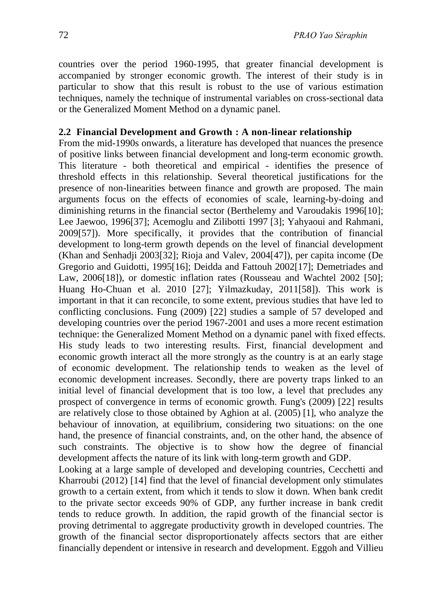countries over the period 1960-1995, that greater financial development is accompanied by stronger economic growth. The interest of their study is in particular to show that this result is robust to the use of various estimation techniques, namely the technique of instrumental variables on cross-sectional data or the Generalized Moment Method on a dynamic panel.

#### **2.2 Financial Development and Growth : A non-linear relationship**

From the mid-1990s onwards, a literature has developed that nuances the presence of positive links between financial development and long-term economic growth. This literature - both theoretical and empirical - identifies the presence of threshold effects in this relationship. Several theoretical justifications for the presence of non-linearities between finance and growth are proposed. The main arguments focus on the effects of economies of scale, learning-by-doing and diminishing returns in the financial sector (Berthelemy and Varoudakis 1996[10]; Lee Jaewoo, 1996[37]; Acemoglu and Zilibotti 1997 [3]; Yahyaoui and Rahmani, 2009[57]). More specifically, it provides that the contribution of financial development to long-term growth depends on the level of financial development (Khan and Senhadji 2003[32]; Rioja and Valev, 2004[47]), per capita income (De Gregorio and Guidotti, 1995[16]; Deidda and Fattouh 2002[17]; Demetriades and Law, 2006[18]), or domestic inflation rates (Rousseau and Wachtel 2002 [50]; Huang Ho-Chuan et al. 2010 [27]; Yilmazkuday, 2011[58]). This work is important in that it can reconcile, to some extent, previous studies that have led to conflicting conclusions. Fung (2009) [22] studies a sample of 57 developed and developing countries over the period 1967-2001 and uses a more recent estimation technique: the Generalized Moment Method on a dynamic panel with fixed effects. His study leads to two interesting results. First, financial development and economic growth interact all the more strongly as the country is at an early stage of economic development. The relationship tends to weaken as the level of economic development increases. Secondly, there are poverty traps linked to an initial level of financial development that is too low, a level that precludes any prospect of convergence in terms of economic growth. Fung's (2009) [22] results are relatively close to those obtained by Aghion at al. (2005) [1], who analyze the behaviour of innovation, at equilibrium, considering two situations: on the one hand, the presence of financial constraints, and, on the other hand, the absence of such constraints. The objective is to show how the degree of financial development affects the nature of its link with long-term growth and GDP.

Looking at a large sample of developed and developing countries, Cecchetti and Kharroubi (2012) [14] find that the level of financial development only stimulates growth to a certain extent, from which it tends to slow it down. When bank credit to the private sector exceeds 90% of GDP, any further increase in bank credit tends to reduce growth. In addition, the rapid growth of the financial sector is proving detrimental to aggregate productivity growth in developed countries. The growth of the financial sector disproportionately affects sectors that are either financially dependent or intensive in research and development. Eggoh and Villieu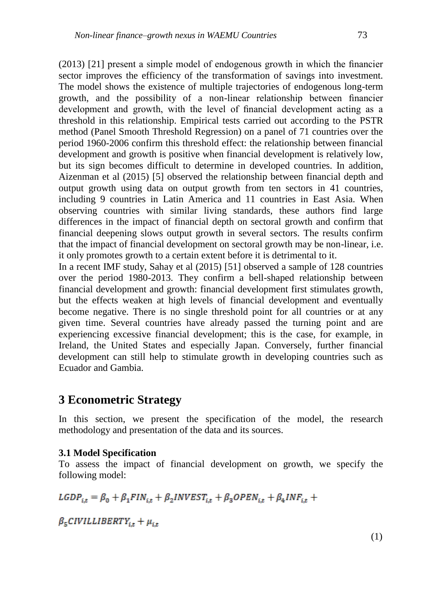(2013) [21] present a simple model of endogenous growth in which the financier sector improves the efficiency of the transformation of savings into investment. The model shows the existence of multiple trajectories of endogenous long-term growth, and the possibility of a non-linear relationship between financier development and growth, with the level of financial development acting as a threshold in this relationship. Empirical tests carried out according to the PSTR method (Panel Smooth Threshold Regression) on a panel of 71 countries over the period 1960-2006 confirm this threshold effect: the relationship between financial development and growth is positive when financial development is relatively low, but its sign becomes difficult to determine in developed countries. In addition, Aizenman et al (2015) [5] observed the relationship between financial depth and output growth using data on output growth from ten sectors in 41 countries, including 9 countries in Latin America and 11 countries in East Asia. When observing countries with similar living standards, these authors find large differences in the impact of financial depth on sectoral growth and confirm that financial deepening slows output growth in several sectors. The results confirm that the impact of financial development on sectoral growth may be non-linear, i.e. it only promotes growth to a certain extent before it is detrimental to it.

In a recent IMF study, Sahay et al (2015) [51] observed a sample of 128 countries over the period 1980-2013. They confirm a bell-shaped relationship between financial development and growth: financial development first stimulates growth, but the effects weaken at high levels of financial development and eventually become negative. There is no single threshold point for all countries or at any given time. Several countries have already passed the turning point and are experiencing excessive financial development; this is the case, for example, in Ireland, the United States and especially Japan. Conversely, further financial development can still help to stimulate growth in developing countries such as Ecuador and Gambia.

# **3 Econometric Strategy**

In this section, we present the specification of the model, the research methodology and presentation of the data and its sources.

#### **3.1 Model Specification**

To assess the impact of financial development on growth, we specify the following model:

$$
LGDP_{i,t} = \beta_0 + \beta_1 FIN_{i,t} + \beta_2 INVEST_{i,t} + \beta_3 OPEN_{i,t} + \beta_4 INF_{i,t} +
$$

 $\beta_5$ CIVILLIBERTY<sub>it</sub> +  $\mu_{i,t}$ 

(1)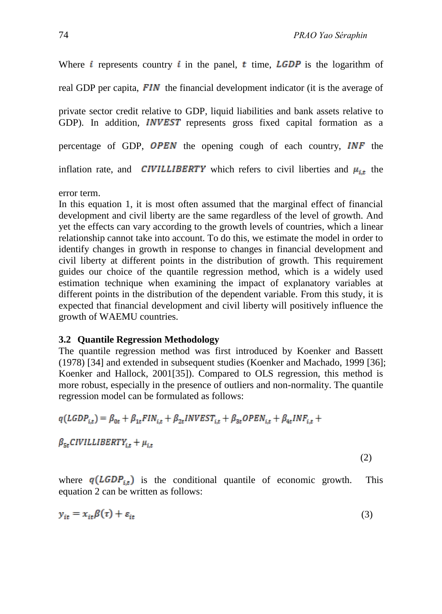Where *i* represents country *i* in the panel, *t* time, *LGDP* is the logarithm of

real GDP per capita,  $FIN$  the financial development indicator (it is the average of

private sector credit relative to GDP, liquid liabilities and bank assets relative to GDP). In addition, **INVEST** represents gross fixed capital formation as a

percentage of GDP,  $OPEN$  the opening cough of each country,  $INF$  the

inflation rate, and **CIVILLIBERTY** which refers to civil liberties and  $\mu_{i,t}$  the

error term.

In this equation 1, it is most often assumed that the marginal effect of financial development and civil liberty are the same regardless of the level of growth. And yet the effects can vary according to the growth levels of countries, which a linear relationship cannot take into account. To do this, we estimate the model in order to identify changes in growth in response to changes in financial development and civil liberty at different points in the distribution of growth. This requirement guides our choice of the quantile regression method, which is a widely used estimation technique when examining the impact of explanatory variables at different points in the distribution of the dependent variable. From this study, it is expected that financial development and civil liberty will positively influence the growth of WAEMU countries.

#### **3.2 Quantile Regression Methodology**

The quantile regression method was first introduced by Koenker and Bassett (1978) [34] and extended in subsequent studies (Koenker and Machado, 1999 [36]; Koenker and Hallock, 2001[35]). Compared to OLS regression, this method is more robust, especially in the presence of outliers and non-normality. The quantile regression model can be formulated as follows:

$$
q(LGDP_{it}) = \beta_{0t} + \beta_{1t} FIN_{it} + \beta_{2t} INVEST_{it} + \beta_{3t} OPEN_{it} + \beta_{4t} INF_{it} +
$$

 $\beta_{5t}$ CIVILLIBERTY<sub>it</sub> +  $\mu_{i,t}$ 

(2)

where  $q(LGDP_{i,t})$  is the conditional quantile of economic growth. This equation 2 can be written as follows:

$$
y_{it} = x_{it}\beta(\tau) + \varepsilon_{it} \tag{3}
$$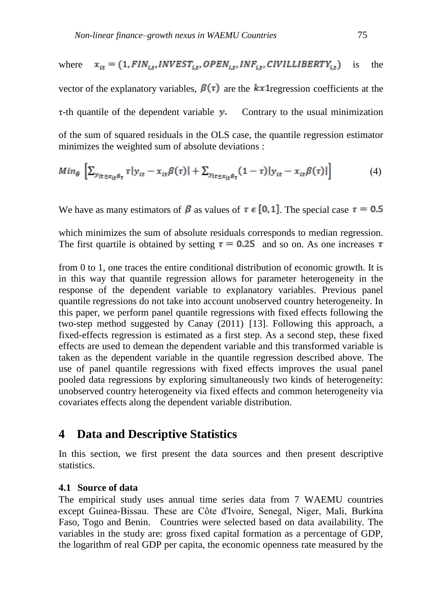where  $x_{it} = (1, FIN_{i,t}, INVEST_{i,t}, OPER_{i,t}, INF_{i,t}, CIVILLIBERTY_{i,t})$  is the vector of the explanatory variables,  $\beta(\tau)$  are the *kx* 1 regression coefficients at the  $\tau$ -th quantile of the dependent variable  $\gamma$ . Contrary to the usual minimization of the sum of squared residuals in the OLS case, the quantile regression estimator minimizes the weighted sum of absolute deviations :

$$
Min_{\theta} \left[ \sum_{y_{it} \ge x_{it} \theta_{\tau}} \tau | y_{it} - x_{it} \beta(\tau) | + \sum_{y_{it} \le x_{it} \theta_{\tau}} (1 - \tau) | y_{it} - x_{it} \beta(\tau) | \right]
$$
(4)

We have as many estimators of  $\beta$  as values of  $\tau \in [0,1]$ . The special case  $\tau = 0.5$ 

which minimizes the sum of absolute residuals corresponds to median regression. The first quartile is obtained by setting  $\tau = 0.25$  and so on. As one increases  $\tau$ 

from 0 to 1, one traces the entire conditional distribution of economic growth. It is in this way that quantile regression allows for parameter heterogeneity in the response of the dependent variable to explanatory variables. Previous panel quantile regressions do not take into account unobserved country heterogeneity. In this paper, we perform panel quantile regressions with fixed effects following the two-step method suggested by Canay (2011) [13]. Following this approach, a fixed-effects regression is estimated as a first step. As a second step, these fixed effects are used to demean the dependent variable and this transformed variable is taken as the dependent variable in the quantile regression described above. The use of panel quantile regressions with fixed effects improves the usual panel pooled data regressions by exploring simultaneously two kinds of heterogeneity: unobserved country heterogeneity via fixed effects and common heterogeneity via covariates effects along the dependent variable distribution.

# **4 Data and Descriptive Statistics**

In this section, we first present the data sources and then present descriptive statistics.

#### **4.1 Source of data**

The empirical study uses annual time series data from 7 WAEMU countries except Guinea-Bissau. These are Côte d'Ivoire, Senegal, Niger, Mali, Burkina Faso, Togo and Benin. Countries were selected based on data availability. The variables in the study are: gross fixed capital formation as a percentage of GDP, the logarithm of real GDP per capita, the economic openness rate measured by the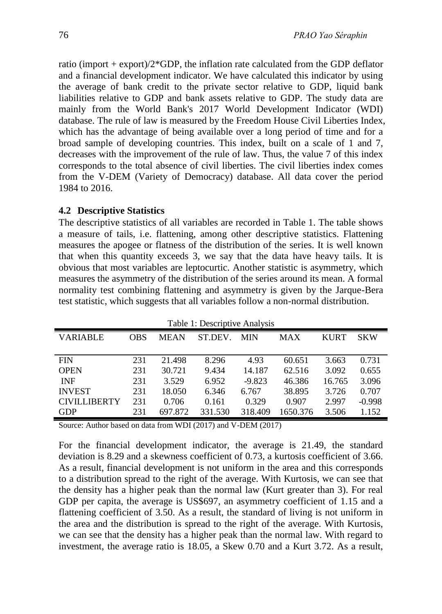ratio (import +  $\exp(\frac{2*GDP}{n})$ , the inflation rate calculated from the GDP deflator and a financial development indicator. We have calculated this indicator by using the average of bank credit to the private sector relative to GDP, liquid bank liabilities relative to GDP and bank assets relative to GDP. The study data are mainly from the World Bank's 2017 World Development Indicator (WDI) database. The rule of law is measured by the Freedom House Civil Liberties Index, which has the advantage of being available over a long period of time and for a broad sample of developing countries. This index, built on a scale of 1 and 7, decreases with the improvement of the rule of law. Thus, the value 7 of this index corresponds to the total absence of civil liberties. The civil liberties index comes from the V-DEM (Variety of Democracy) database. All data cover the period 1984 to 2016.

#### **4.2 Descriptive Statistics**

The descriptive statistics of all variables are recorded in Table 1. The table shows a measure of tails, i.e. flattening, among other descriptive statistics. Flattening measures the apogee or flatness of the distribution of the series. It is well known that when this quantity exceeds 3, we say that the data have heavy tails. It is obvious that most variables are leptocurtic. Another statistic is asymmetry, which measures the asymmetry of the distribution of the series around its mean. A formal normality test combining flattening and asymmetry is given by the Jarque-Bera test statistic, which suggests that all variables follow a non-normal distribution.

| Table 1: Descriptive Analysis |            |             |               |            |            |             |            |
|-------------------------------|------------|-------------|---------------|------------|------------|-------------|------------|
| VARIABLE                      | <b>OBS</b> | <b>MEAN</b> | <b>ST.DEV</b> | <b>MIN</b> | <b>MAX</b> | <b>KURT</b> | <b>SKW</b> |
|                               |            |             |               |            |            |             |            |
| <b>FIN</b>                    | 231        | 21.498      | 8.296         | 4.93       | 60.651     | 3.663       | 0.731      |
| <b>OPEN</b>                   | 231        | 30.721      | 9.434         | 14.187     | 62.516     | 3.092       | 0.655      |
| <b>INF</b>                    | 231        | 3.529       | 6.952         | $-9.823$   | 46.386     | 16.765      | 3.096      |
| <b>INVEST</b>                 | 231        | 18.050      | 6.346         | 6.767      | 38.895     | 3.726       | 0.707      |
| <b>CIVILLIBERTY</b>           | 231        | 0.706       | 0.161         | 0.329      | 0.907      | 2.997       | $-0.998$   |
| <b>GDP</b>                    | 231        | 697.872     | 331.530       | 318.409    | 1650.376   | 3.506       | 1.152      |

Source: Author based on data from WDI (2017) and V-DEM (2017)

For the financial development indicator, the average is 21.49, the standard deviation is 8.29 and a skewness coefficient of 0.73, a kurtosis coefficient of 3.66. As a result, financial development is not uniform in the area and this corresponds to a distribution spread to the right of the average. With Kurtosis, we can see that the density has a higher peak than the normal law (Kurt greater than 3). For real GDP per capita, the average is US\$697, an asymmetry coefficient of 1.15 and a flattening coefficient of 3.50. As a result, the standard of living is not uniform in the area and the distribution is spread to the right of the average. With Kurtosis, we can see that the density has a higher peak than the normal law. With regard to investment, the average ratio is 18.05, a Skew 0.70 and a Kurt 3.72. As a result,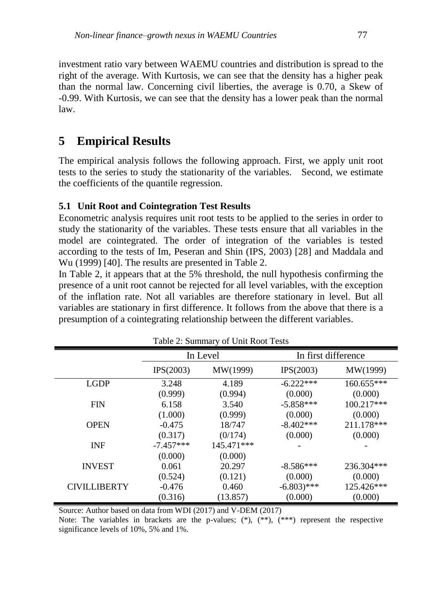investment ratio vary between WAEMU countries and distribution is spread to the right of the average. With Kurtosis, we can see that the density has a higher peak than the normal law. Concerning civil liberties, the average is 0.70, a Skew of -0.99. With Kurtosis, we can see that the density has a lower peak than the normal law.

# **5 Empirical Results**

The empirical analysis follows the following approach. First, we apply unit root tests to the series to study the stationarity of the variables. Second, we estimate the coefficients of the quantile regression.

### **5.1 Unit Root and Cointegration Test Results**

Econometric analysis requires unit root tests to be applied to the series in order to study the stationarity of the variables. These tests ensure that all variables in the model are cointegrated. The order of integration of the variables is tested according to the tests of Im, Peseran and Shin (IPS, 2003) [28] and Maddala and Wu (1999) [40]. The results are presented in Table 2.

In Table 2, it appears that at the 5% threshold, the null hypothesis confirming the presence of a unit root cannot be rejected for all level variables, with the exception of the inflation rate. Not all variables are therefore stationary in level. But all variables are stationary in first difference. It follows from the above that there is a presumption of a cointegrating relationship between the different variables.

| Table 2: Summary of Unit Root Tests |             |            |                         |            |  |  |
|-------------------------------------|-------------|------------|-------------------------|------------|--|--|
|                                     |             | In Level   | In first difference     |            |  |  |
|                                     | IPS(2003)   | MW(1999)   | IPS(2003)               | MW(1999)   |  |  |
| <b>LGDP</b>                         | 3.248       | 4.189      | $-6.222***$             | 160.655*** |  |  |
|                                     | (0.999)     | (0.994)    | (0.000)                 | (0.000)    |  |  |
| <b>FIN</b>                          | 6.158       | 3.540      | $-5.858***$             | 100.217*** |  |  |
|                                     | (1.000)     | (0.999)    | (0.000)                 | (0.000)    |  |  |
| <b>OPEN</b>                         | $-0.475$    | 18/747     | $-8.402***$             | 211.178*** |  |  |
|                                     | (0.317)     | (0/174)    | (0.000)                 | (0.000)    |  |  |
| <b>INF</b>                          | $-7.457***$ | 145.471*** |                         |            |  |  |
|                                     | (0.000)     | (0.000)    |                         |            |  |  |
| <b>INVEST</b>                       | 0.061       | 20.297     | $-8.586***$             | 236.304*** |  |  |
|                                     | (0.524)     | (0.121)    | (0.000)                 | (0.000)    |  |  |
| <b>CIVILLIBERTY</b>                 | $-0.476$    | 0.460      | $-6.803$ <sup>***</sup> | 125.426*** |  |  |
|                                     | (0.316)     | (13.857)   | (0.000)                 | (0.000)    |  |  |

|  | Table 2: Summary of Unit Root Tests |  |  |  |
|--|-------------------------------------|--|--|--|
|--|-------------------------------------|--|--|--|

Source: Author based on data from WDI (2017) and V-DEM (2017)

Note: The variables in brackets are the p-values;  $(*), (**, (**)$  represent the respective significance levels of 10%, 5% and 1%.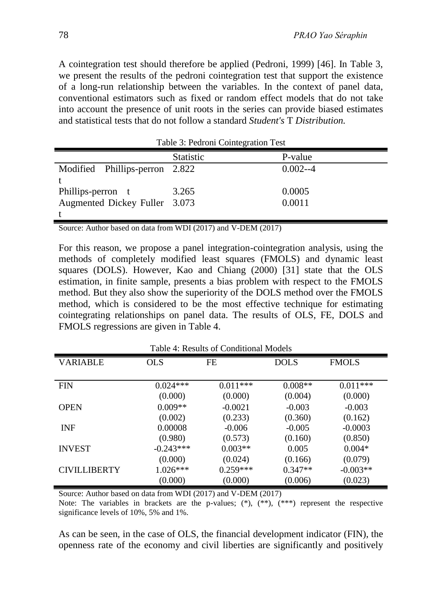A cointegration test should therefore be applied (Pedroni, 1999) [46]. In Table 3, we present the results of the pedroni cointegration test that support the existence of a long-run relationship between the variables. In the context of panel data, conventional estimators such as fixed or random effect models that do not take into account the presence of unit roots in the series can provide biased estimates and statistical tests that do not follow a standard *Student's* T *Distribution.*

|                                | ັ                |             |
|--------------------------------|------------------|-------------|
|                                | <b>Statistic</b> | P-value     |
| Modified Phillips-perron 2.822 |                  | $0.002 - 4$ |
|                                |                  |             |
| Phillips-perron t              | 3.265            | 0.0005      |
| Augmented Dickey Fuller 3.073  |                  | 0.0011      |
|                                |                  |             |

Table 3: Pedroni Cointegration Test

Source: Author based on data from WDI (2017) and V-DEM (2017)

For this reason, we propose a panel integration-cointegration analysis, using the methods of completely modified least squares (FMOLS) and dynamic least squares (DOLS). However, Kao and Chiang (2000) [31] state that the OLS estimation, in finite sample, presents a bias problem with respect to the FMOLS method. But they also show the superiority of the DOLS method over the FMOLS method, which is considered to be the most effective technique for estimating cointegrating relationships on panel data. The results of OLS, FE, DOLS and FMOLS regressions are given in Table 4.

| Table 4: Results of Conditional Models |             |            |             |              |  |  |
|----------------------------------------|-------------|------------|-------------|--------------|--|--|
| <b>VARIABLE</b>                        | <b>OLS</b>  | FE         | <b>DOLS</b> | <b>FMOLS</b> |  |  |
|                                        |             |            |             |              |  |  |
| <b>FIN</b>                             | $0.024***$  | $0.011***$ | $0.008**$   | $0.011***$   |  |  |
|                                        | (0.000)     | (0.000)    | (0.004)     | (0.000)      |  |  |
| <b>OPEN</b>                            | $0.009**$   | $-0.0021$  | $-0.003$    | $-0.003$     |  |  |
|                                        | (0.002)     | (0.233)    | (0.360)     | (0.162)      |  |  |
| <b>INF</b>                             | 0.00008     | $-0.006$   | $-0.005$    | $-0.0003$    |  |  |
|                                        | (0.980)     | (0.573)    | (0.160)     | (0.850)      |  |  |
| <b>INVEST</b>                          | $-0.243***$ | $0.003**$  | 0.005       | $0.004*$     |  |  |
|                                        | (0.000)     | (0.024)    | (0.166)     | (0.079)      |  |  |
| <b>CIVILLIBERTY</b>                    | $1.026***$  | $0.259***$ | $0.347**$   | $-0.003**$   |  |  |
|                                        | (0.000)     | (0.000)    | (0.006)     | (0.023)      |  |  |

Table 4: Results of Conditional Models

Source: Author based on data from WDI (2017) and V-DEM (2017)

Note: The variables in brackets are the p-values; (\*), (\*\*), (\*\*\*) represent the respective significance levels of 10%, 5% and 1%.

As can be seen, in the case of OLS, the financial development indicator (FIN), the openness rate of the economy and civil liberties are significantly and positively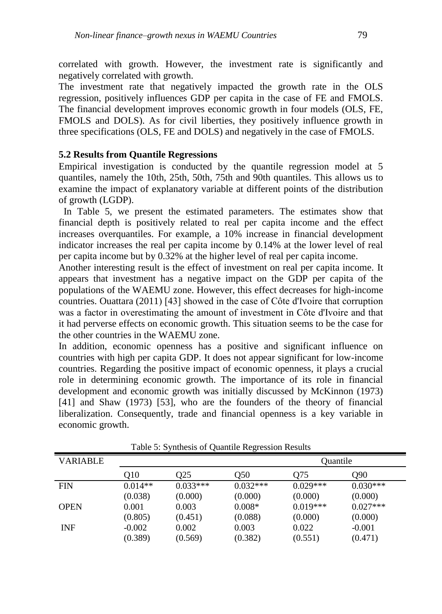correlated with growth. However, the investment rate is significantly and negatively correlated with growth.

The investment rate that negatively impacted the growth rate in the OLS regression, positively influences GDP per capita in the case of FE and FMOLS. The financial development improves economic growth in four models (OLS, FE, FMOLS and DOLS). As for civil liberties, they positively influence growth in three specifications (OLS, FE and DOLS) and negatively in the case of FMOLS.

#### **5.2 Results from Quantile Regressions**

Empirical investigation is conducted by the quantile regression model at 5 quantiles, namely the 10th, 25th, 50th, 75th and 90th quantiles. This allows us to examine the impact of explanatory variable at different points of the distribution of growth (LGDP).

In Table 5, we present the estimated parameters. The estimates show that financial depth is positively related to real per capita income and the effect increases overquantiles. For example, a 10% increase in financial development indicator increases the real per capita income by 0.14% at the lower level of real per capita income but by 0.32% at the higher level of real per capita income.

Another interesting result is the effect of investment on real per capita income. It appears that investment has a negative impact on the GDP per capita of the populations of the WAEMU zone. However, this effect decreases for high-income countries. Ouattara (2011) [43] showed in the case of Côte d'Ivoire that corruption was a factor in overestimating the amount of investment in Côte d'Ivoire and that it had perverse effects on economic growth. This situation seems to be the case for the other countries in the WAEMU zone.

In addition, economic openness has a positive and significant influence on countries with high per capita GDP. It does not appear significant for low-income countries. Regarding the positive impact of economic openness, it plays a crucial role in determining economic growth. The importance of its role in financial development and economic growth was initially discussed by McKinnon (1973) [41] and Shaw (1973) [53], who are the founders of the theory of financial liberalization. Consequently, trade and financial openness is a key variable in economic growth.

| <b>VARIABLE</b> | Quantile  |            |            |            |            |
|-----------------|-----------|------------|------------|------------|------------|
|                 | O10       | Q25        | Q50        | Q75        | Q90        |
| <b>FIN</b>      | $0.014**$ | $0.033***$ | $0.032***$ | $0.029***$ | $0.030***$ |
|                 | (0.038)   | (0.000)    | (0.000)    | (0.000)    | (0.000)    |
| <b>OPEN</b>     | 0.001     | 0.003      | $0.008*$   | $0.019***$ | $0.027***$ |
|                 | (0.805)   | (0.451)    | (0.088)    | (0.000)    | (0.000)    |
| <b>INF</b>      | $-0.002$  | 0.002      | 0.003      | 0.022      | $-0.001$   |
|                 | (0.389)   | (0.569)    | (0.382)    | (0.551)    | (0.471)    |

Table 5: Synthesis of Quantile Regression Results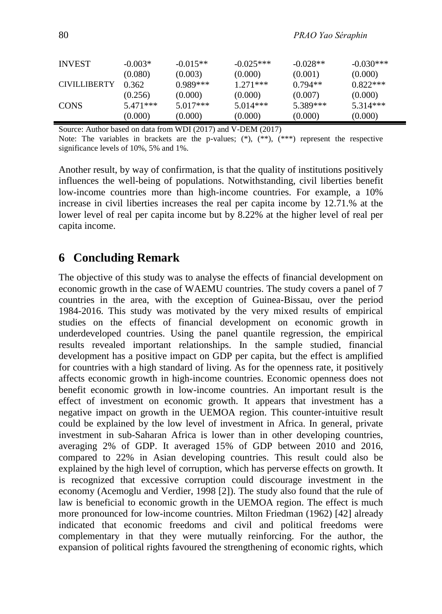| <b>INVEST</b>       | $-0.003*$  | $-0.015**$ | $-0.025***$ | $-0.028**$ | $-0.030***$ |
|---------------------|------------|------------|-------------|------------|-------------|
|                     | (0.080)    | (0.003)    | (0.000)     | (0.001)    | (0.000)     |
| <b>CIVILLIBERTY</b> | 0.362      | $0.989***$ | $1.271***$  | $0.794**$  | $0.822***$  |
|                     | (0.256)    | (0.000)    | (0.000)     | (0.007)    | (0.000)     |
| <b>CONS</b>         | $5.471***$ | $5.017***$ | $5.014***$  | 5.389***   | $5.314***$  |
|                     | (0.000)    | (0.000)    | (0.000)     | (0.000)    | (0.000)     |

Source: Author based on data from WDI (2017) and V-DEM (2017)

Note: The variables in brackets are the p-values;  $(*), (**, (**, "r*)$  represent the respective significance levels of 10%, 5% and 1%.

Another result, by way of confirmation, is that the quality of institutions positively influences the well-being of populations. Notwithstanding, civil liberties benefit low-income countries more than high-income countries. For example, a 10% increase in civil liberties increases the real per capita income by 12.71.% at the lower level of real per capita income but by 8.22% at the higher level of real per capita income.

### **6 Concluding Remark**

The objective of this study was to analyse the effects of financial development on economic growth in the case of WAEMU countries. The study covers a panel of 7 countries in the area, with the exception of Guinea-Bissau, over the period 1984-2016. This study was motivated by the very mixed results of empirical studies on the effects of financial development on economic growth in underdeveloped countries. Using the panel quantile regression, the empirical results revealed important relationships. In the sample studied, financial development has a positive impact on GDP per capita, but the effect is amplified for countries with a high standard of living. As for the openness rate, it positively affects economic growth in high-income countries. Economic openness does not benefit economic growth in low-income countries. An important result is the effect of investment on economic growth. It appears that investment has a negative impact on growth in the UEMOA region. This counter-intuitive result could be explained by the low level of investment in Africa. In general, private investment in sub-Saharan Africa is lower than in other developing countries, averaging 2% of GDP. It averaged 15% of GDP between 2010 and 2016, compared to 22% in Asian developing countries. This result could also be explained by the high level of corruption, which has perverse effects on growth. It is recognized that excessive corruption could discourage investment in the economy (Acemoglu and Verdier, 1998 [2]). The study also found that the rule of law is beneficial to economic growth in the UEMOA region. The effect is much more pronounced for low-income countries. Milton Friedman (1962) [42] already indicated that economic freedoms and civil and political freedoms were complementary in that they were mutually reinforcing. For the author, the expansion of political rights favoured the strengthening of economic rights, which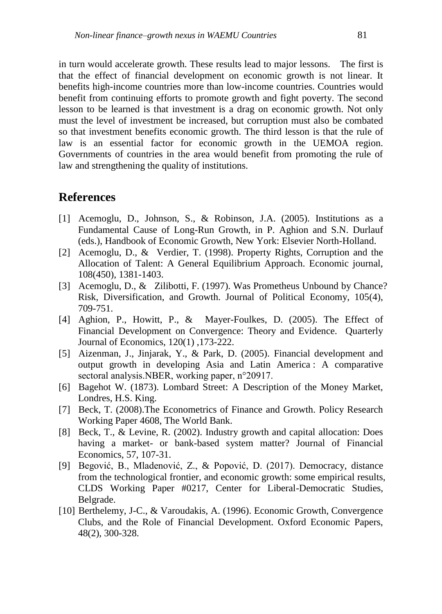in turn would accelerate growth. These results lead to major lessons. The first is that the effect of financial development on economic growth is not linear. It benefits high-income countries more than low-income countries. Countries would benefit from continuing efforts to promote growth and fight poverty. The second lesson to be learned is that investment is a drag on economic growth. Not only must the level of investment be increased, but corruption must also be combated so that investment benefits economic growth. The third lesson is that the rule of law is an essential factor for economic growth in the UEMOA region. Governments of countries in the area would benefit from promoting the rule of law and strengthening the quality of institutions.

# **References**

- [1] Acemoglu, D., Johnson, S., & Robinson, J.A. (2005). Institutions as a Fundamental Cause of Long-Run Growth, in P. Aghion and S.N. Durlauf (eds.), Handbook of Economic Growth, New York: Elsevier North-Holland.
- [2] Acemoglu, D., & Verdier, T. (1998). Property Rights, Corruption and the Allocation of Talent: A General Equilibrium Approach. Economic journal, 108(450), 1381-1403.
- [3] Acemoglu, D., & Zilibotti, F. (1997). Was Prometheus Unbound by Chance? Risk, Diversification, and Growth. Journal of Political Economy, 105(4), 709-751.
- [4] Aghion, P., Howitt, P., & Mayer-Foulkes, D. (2005). The Effect of Financial Development on Convergence: Theory and Evidence. Quarterly Journal of Economics, 120(1) ,173-222.
- [5] Aizenman, J., Jinjarak, Y., & Park, D. (2005). Financial development and output growth in developing Asia and Latin America : A comparative sectoral analysis.NBER, working paper, n°20917.
- [6] Bagehot W. (1873). Lombard Street: A Description of the Money Market, Londres, H.S. King.
- [7] Beck, T. (2008).The Econometrics of Finance and Growth. Policy Research Working Paper 4608, The World Bank.
- [8] Beck, T., & Levine, R. (2002). Industry growth and capital allocation: Does having a market- or bank-based system matter? Journal of Financial Economics, 57, 107-31.
- [9] Begović, B., Mladenović, Z., & Popović, D. (2017). Democracy, distance from the technological frontier, and economic growth: some empirical results, CLDS Working Paper #0217, Center for Liberal-Democratic Studies, Belgrade.
- [10] Berthelemy, J-C., & Varoudakis, A. (1996). Economic Growth, Convergence Clubs, and the Role of Financial Development. Oxford Economic Papers, 48(2), 300-328.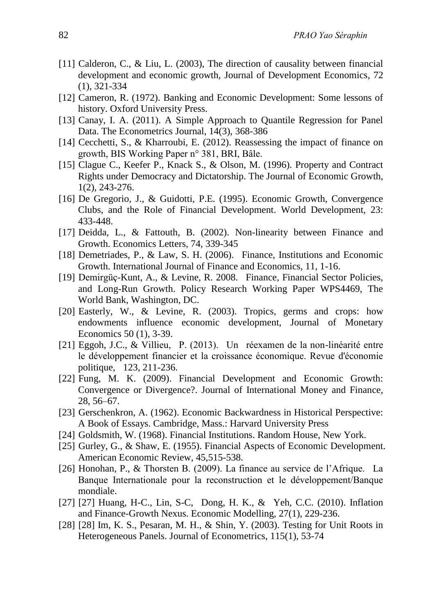- [11] Calderon, C., & Liu, L. (2003), The direction of causality between financial development and economic growth, Journal of [Development Economics,](https://econpapers.repec.org/article/eeedeveco/) 72 (1), 321-334
- [12] Cameron, R. (1972). Banking and Economic Development: Some lessons of history. Oxford University Press.
- [13] Canay, I. A. (2011). A Simple Approach to Quantile Regression for Panel Data. The Econometrics Journal, 14(3), 368-386
- [14] Cecchetti, S., & Kharroubi, E. (2012). Reassessing the impact of finance on growth, BIS Working Paper n° 381, BRI, Bâle.
- [15] Clague C., Keefer P., Knack S., & Olson, M. (1996). Property and Contract Rights under Democracy and Dictatorship. The Journal of Economic Growth, 1(2), 243-276.
- [16] De Gregorio, J., & Guidotti, P.E. (1995). Economic Growth, Convergence Clubs, and the Role of Financial Development. World Development, 23: 433-448.
- [17] Deidda, L., & Fattouth, B. (2002). Non-linearity between Finance and Growth. Economics Letters, 74, 339-345
- [18] Demetriades, P., & Law, S. H. (2006). Finance, Institutions and Economic Growth. International Journal of Finance and Economics, 11, 1-16.
- [19] Demirgüç-Kunt, A., & Levine, R. 2008. Finance, Financial Sector Policies, and Long-Run Growth. Policy Research Working Paper WPS4469, The World Bank, Washington, DC.
- [20] Easterly, W., & Levine, R. (2003). Tropics, germs and crops: how endowments influence economic development, Journal of Monetary Economics 50 (1), 3-39.
- [21] Eggoh, J.C., & Villieu, P. (2013). Un réexamen de la non-linéarité entre le développement financier et la croissance économique. Revue d'économie politique, 123, 211-236.
- [22] Fung, M. K. (2009). Financial Development and Economic Growth: Convergence or Divergence?. Journal of International Money and Finance, 28, 56–67.
- [23] Gerschenkron, A. (1962). Economic Backwardness in Historical Perspective: A Book of Essays. Cambridge, Mass.: Harvard University Press
- [24] Goldsmith, W. (1968). Financial Institutions. Random House, New York.
- [25] Gurley, G., & Shaw, E. (1955). Financial Aspects of Economic Development. American Economic Review, 45,515-538.
- [26] Honohan, P., & Thorsten B. (2009). La finance au service de l'Afrique. La Banque Internationale pour la reconstruction et le développement/Banque mondiale.
- [27] [27] Huang, H-C., Lin, S-C, Dong, H. K., & Yeh, C.C. (2010). Inflation and Finance-Growth Nexus. Economic Modelling, 27(1), 229-236.
- [28] [28] Im, K. S., Pesaran, M. H., & Shin, Y. (2003). Testing for Unit Roots in Heterogeneous Panels. Journal of Econometrics, 115(1), 53-74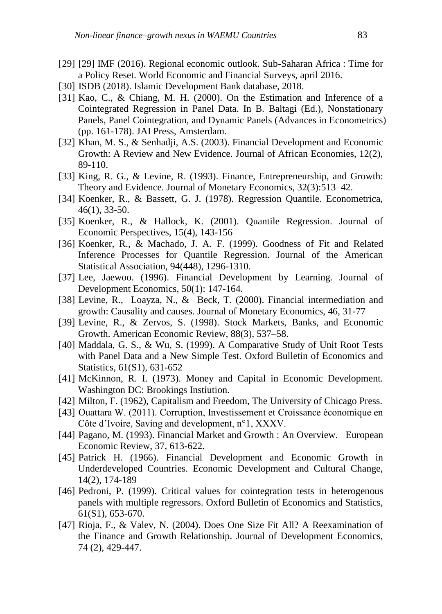- [29] [29] IMF (2016). Regional economic outlook. Sub-Saharan Africa : Time for a Policy Reset. World Economic and Financial Surveys, april 2016.
- [30] ISDB (2018). Islamic Development Bank database, 2018.
- [31] Kao, C., & Chiang, M. H. (2000). On the Estimation and Inference of a Cointegrated Regression in Panel Data. In B. Baltagi (Ed.), Nonstationary Panels, Panel Cointegration, and Dynamic Panels (Advances in Econometrics) (pp. 161-178). JAI Press, Amsterdam.
- [32] Khan, M. S., & Senhadji, A.S. (2003). Financial Development and Economic Growth: A Review and New Evidence. Journal of African Economies, 12(2), 89-110.
- [33] King, R. G., & Levine, R. (1993). Finance, Entrepreneurship, and Growth: Theory and Evidence. Journal of Monetary Economics, 32(3):513–42.
- [34] Koenker, R., & Bassett, G. J. (1978). Regression Quantile. Econometrica, 46(1), 33-50.
- [35] Koenker, R., & Hallock, K. (2001). Quantile Regression. Journal of Economic Perspectives, 15(4), 143-156
- [36] Koenker, R., & Machado, J. A. F. (1999). Goodness of Fit and Related Inference Processes for Quantile Regression. Journal of the American Statistical Association, 94(448), 1296-1310.
- [37] Lee, Jaewoo. (1996). Financial Development by Learning. Journal of Development Economics, 50(1): 147-164.
- [38] Levine, R., Loayza, N., & Beck, T. (2000). Financial intermediation and growth: Causality and causes. Journal of Monetary Economics, 46, 31-77
- [39] Levine, R., & Zervos, S. (1998). Stock Markets, Banks, and Economic Growth. American Economic Review, 88(3), 537–58.
- [40] Maddala, G. S., & Wu, S. (1999). A Comparative Study of Unit Root Tests with Panel Data and a New Simple Test. Oxford Bulletin of Economics and Statistics, 61(S1), 631-652
- [41] McKinnon, R. I. (1973). Money and Capital in Economic Development. Washington DC: Brookings Instiution.
- [42] Milton, F. (1962), Capitalism and Freedom, The University of Chicago Press.
- [43] Ouattara W. (2011). Corruption, Investissement et Croissance économique en Côte d'Ivoire, Saving and development, n°1, XXXV.
- [44] Pagano, M. (1993). Financial Market and Growth : An Overview. European Economic Review, 37, 613-622.
- [45] Patrick H. (1966). Financial Development and Economic Growth in Underdeveloped Countries. Economic Development and Cultural Change, 14(2), 174-189
- [46] Pedroni, P. (1999). Critical values for cointegration tests in heterogenous panels with multiple regressors. Oxford Bulletin of Economics and Statistics, 61(S1), 653-670.
- [47] Rioja, F., & Valev, N. (2004). Does One Size Fit All? A Reexamination of the Finance and Growth Relationship. Journal of Development Economics, 74 (2), 429-447.